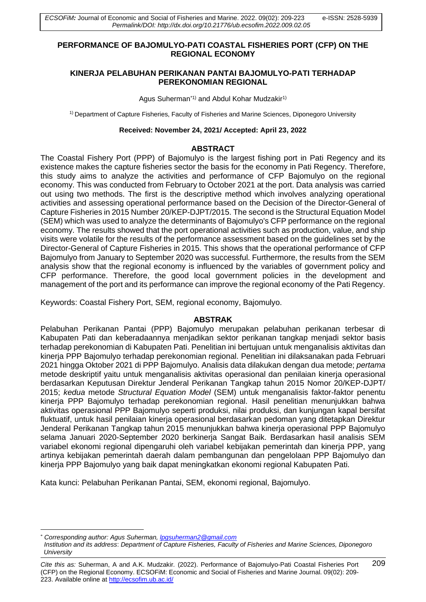### **PERFORMANCE OF BAJOMULYO-PATI COASTAL FISHERIES PORT (CFP) ON THE REGIONAL ECONOMY**

## **KINERJA PELABUHAN PERIKANAN PANTAI BAJOMULYO-PATI TERHADAP PEREKONOMIAN REGIONAL**

Agus Suherman<sup>\*1)</sup> and Abdul Kohar Mudzakir<sup>1)</sup>

1) Department of Capture Fisheries, Faculty of Fisheries and Marine Sciences, Diponegoro University

#### **Received: November 24, 2021/ Accepted: April 23, 2022**

#### **ABSTRACT**

The Coastal Fishery Port (PPP) of Bajomulyo is the largest fishing port in Pati Regency and its existence makes the capture fisheries sector the basis for the economy in Pati Regency. Therefore, this study aims to analyze the activities and performance of CFP Bajomulyo on the regional economy. This was conducted from February to October 2021 at the port. Data analysis was carried out using two methods. The first is the descriptive method which involves analyzing operational activities and assessing operational performance based on the Decision of the Director-General of Capture Fisheries in 2015 Number 20/KEP-DJPT/2015. The second is the Structural Equation Model (SEM) which was used to analyze the determinants of Bajomulyo's CFP performance on the regional economy. The results showed that the port operational activities such as production, value, and ship visits were volatile for the results of the performance assessment based on the guidelines set by the Director-General of Capture Fisheries in 2015. This shows that the operational performance of CFP Bajomulyo from January to September 2020 was successful. Furthermore, the results from the SEM analysis show that the regional economy is influenced by the variables of government policy and CFP performance. Therefore, the good local government policies in the development and management of the port and its performance can improve the regional economy of the Pati Regency.

Keywords: Coastal Fishery Port, SEM, regional economy, Bajomulyo.

### **ABSTRAK**

Pelabuhan Perikanan Pantai (PPP) Bajomulyo merupakan pelabuhan perikanan terbesar di Kabupaten Pati dan keberadaannya menjadikan sektor perikanan tangkap menjadi sektor basis terhadap perekonomian di Kabupaten Pati. Penelitian ini bertujuan untuk menganalisis aktivitas dan kinerja PPP Bajomulyo terhadap perekonomian regional. Penelitian ini dilaksanakan pada Februari 2021 hingga Oktober 2021 di PPP Bajomulyo. Analisis data dilakukan dengan dua metode; *pertama* metode deskriptif yaitu untuk menganalisis aktivitas operasional dan penilaian kinerja operasional berdasarkan Keputusan Direktur Jenderal Perikanan Tangkap tahun 2015 Nomor 20/KEP-DJPT/ 2015; *kedua* metode *Structural Equation Model* (SEM) untuk menganalisis faktor-faktor penentu kinerja PPP Bajomulyo terhadap perekonomian regional. Hasil penelitian menunjukkan bahwa aktivitas operasional PPP Bajomulyo seperti produksi, nilai produksi, dan kunjungan kapal bersifat fluktuatif, untuk hasil penilaian kinerja operasional berdasarkan pedoman yang ditetapkan Direktur Jenderal Perikanan Tangkap tahun 2015 menunjukkan bahwa kinerja operasional PPP Bajomulyo selama Januari 2020-September 2020 berkinerja Sangat Baik. Berdasarkan hasil analisis SEM variabel ekonomi regional dipengaruhi oleh variabel kebijakan pemerintah dan kinerja PPP, yang artinya kebijakan pemerintah daerah dalam pembangunan dan pengelolaan PPP Bajomulyo dan kinerja PPP Bajomulyo yang baik dapat meningkatkan ekonomi regional Kabupaten Pati.

Kata kunci: Pelabuhan Perikanan Pantai, SEM, ekonomi regional, Bajomulyo.

<sup>\*</sup> *Corresponding author: Agus Suherman[, lpgsuherman2@gmail.com](mailto:lpgsuherman2@gmail.com)*

*Institution and its address*: *Department of Capture Fisheries, Faculty of Fisheries and Marine Sciences, Diponegoro University*

*Cite this as:* Suherman, A and A.K. Mudzakir*.* (2022). Performance of Bajomulyo-Pati Coastal Fisheries Port 209 (CFP) on the Regional Economy. ECSOFiM: Economic and Social of Fisheries and Marine Journal. 09(02): 209- 223. Available online at <http://ecsofim.ub.ac.id/>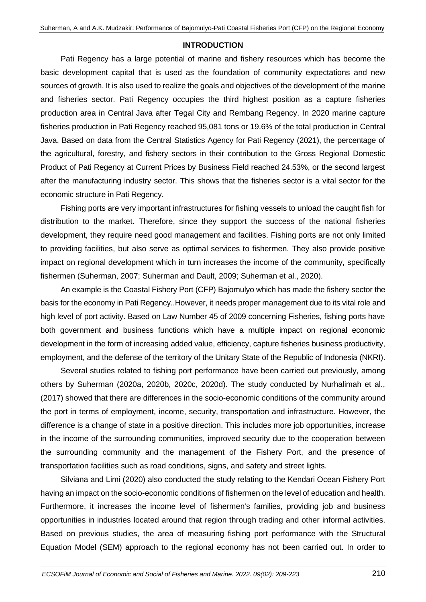## **INTRODUCTION**

Pati Regency has a large potential of marine and fishery resources which has become the basic development capital that is used as the foundation of community expectations and new sources of growth. It is also used to realize the goals and objectives of the development of the marine and fisheries sector. Pati Regency occupies the third highest position as a capture fisheries production area in Central Java after Tegal City and Rembang Regency. In 2020 marine capture fisheries production in Pati Regency reached 95,081 tons or 19.6% of the total production in Central Java. Based on data from the Central Statistics Agency for Pati Regency (2021), the percentage of the agricultural, forestry, and fishery sectors in their contribution to the Gross Regional Domestic Product of Pati Regency at Current Prices by Business Field reached 24.53%, or the second largest after the manufacturing industry sector. This shows that the fisheries sector is a vital sector for the economic structure in Pati Regency.

Fishing ports are very important infrastructures for fishing vessels to unload the caught fish for distribution to the market. Therefore, since they support the success of the national fisheries development, they require need good management and facilities. Fishing ports are not only limited to providing facilities, but also serve as optimal services to fishermen. They also provide positive impact on regional development which in turn increases the income of the community, specifically fishermen (Suherman, 2007; Suherman and Dault, 2009; Suherman et al., 2020).

An example is the Coastal Fishery Port (CFP) Bajomulyo which has made the fishery sector the basis for the economy in Pati Regency..However, it needs proper management due to its vital role and high level of port activity. Based on Law Number 45 of 2009 concerning Fisheries, fishing ports have both government and business functions which have a multiple impact on regional economic development in the form of increasing added value, efficiency, capture fisheries business productivity, employment, and the defense of the territory of the Unitary State of the Republic of Indonesia (NKRI).

Several studies related to fishing port performance have been carried out previously, among others by Suherman (2020a, 2020b, 2020c, 2020d). The study conducted by Nurhalimah et al., (2017) showed that there are differences in the socio-economic conditions of the community around the port in terms of employment, income, security, transportation and infrastructure. However, the difference is a change of state in a positive direction. This includes more job opportunities, increase in the income of the surrounding communities, improved security due to the cooperation between the surrounding community and the management of the Fishery Port, and the presence of transportation facilities such as road conditions, signs, and safety and street lights.

Silviana and Limi (2020) also conducted the study relating to the Kendari Ocean Fishery Port having an impact on the socio-economic conditions of fishermen on the level of education and health. Furthermore, it increases the income level of fishermen's families, providing job and business opportunities in industries located around that region through trading and other informal activities. Based on previous studies, the area of measuring fishing port performance with the Structural Equation Model (SEM) approach to the regional economy has not been carried out. In order to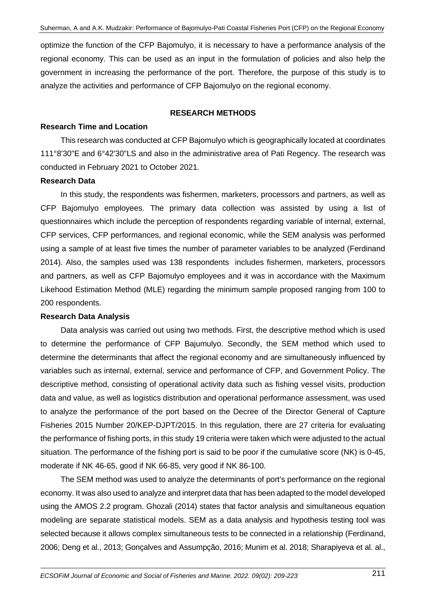optimize the function of the CFP Bajomulyo, it is necessary to have a performance analysis of the regional economy. This can be used as an input in the formulation of policies and also help the government in increasing the performance of the port. Therefore, the purpose of this study is to analyze the activities and performance of CFP Bajomulyo on the regional economy.

## **RESEARCH METHODS**

## **Research Time and Location**

This research was conducted at CFP Bajomulyo which is geographically located at coordinates 111°8'30"E and 6°42'30"LS and also in the administrative area of Pati Regency. The research was conducted in February 2021 to October 2021.

## **Research Data**

In this study, the respondents was fishermen, marketers, processors and partners, as well as CFP Bajomulyo employees. The primary data collection was assisted by using a list of questionnaires which include the perception of respondents regarding variable of internal, external, CFP services, CFP performances, and regional economic, while the SEM analysis was performed using a sample of at least five times the number of parameter variables to be analyzed (Ferdinand 2014). Also, the samples used was 138 respondents includes fishermen, marketers, processors and partners, as well as CFP Bajomulyo employees and it was in accordance with the Maximum Likehood Estimation Method (MLE) regarding the minimum sample proposed ranging from 100 to 200 respondents.

## **Research Data Analysis**

Data analysis was carried out using two methods. First, the descriptive method which is used to determine the performance of CFP Bajumulyo. Secondly, the SEM method which used to determine the determinants that affect the regional economy and are simultaneously influenced by variables such as internal, external, service and performance of CFP, and Government Policy. The descriptive method, consisting of operational activity data such as fishing vessel visits, production data and value, as well as logistics distribution and operational performance assessment, was used to analyze the performance of the port based on the Decree of the Director General of Capture Fisheries 2015 Number 20/KEP-DJPT/2015. In this regulation, there are 27 criteria for evaluating the performance of fishing ports, in this study 19 criteria were taken which were adjusted to the actual situation. The performance of the fishing port is said to be poor if the cumulative score (NK) is 0-45, moderate if NK 46-65, good if NK 66-85, very good if NK 86-100.

The SEM method was used to analyze the determinants of port's performance on the regional economy. It was also used to analyze and interpret data that has been adapted to the model developed using the AMOS 2.2 program. Ghozali (2014) states that factor analysis and simultaneous equation modeling are separate statistical models. SEM as a data analysis and hypothesis testing tool was selected because it allows complex simultaneous tests to be connected in a relationship (Ferdinand, 2006; Deng et al., 2013; Gonçalves and Assumpção, 2016; Munim et al. 2018; Sharapiyeva et al. al.,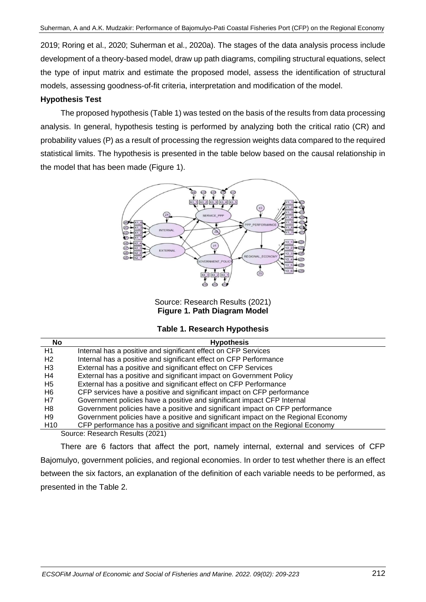2019; Roring et al., 2020; Suherman et al., 2020a). The stages of the data analysis process include development of a theory-based model, draw up path diagrams, compiling structural equations, select the type of input matrix and estimate the proposed model, assess the identification of structural models, assessing goodness-of-fit criteria, interpretation and modification of the model.

## **Hypothesis Test**

The proposed hypothesis (Table 1) was tested on the basis of the results from data processing analysis. In general, hypothesis testing is performed by analyzing both the critical ratio (CR) and probability values (P) as a result of processing the regression weights data compared to the required statistical limits. The hypothesis is presented in the table below based on the causal relationship in the model that has been made (Figure 1).



Source: Research Results (2021) **Figure 1. Path Diagram Model**

|  |  |  | Table 1. Research Hypothesis |
|--|--|--|------------------------------|
|--|--|--|------------------------------|

| No              | <b>Hypothesis</b>                                                                  |
|-----------------|------------------------------------------------------------------------------------|
| H1              | Internal has a positive and significant effect on CFP Services                     |
| H2              | Internal has a positive and significant effect on CFP Performance                  |
| H3              | External has a positive and significant effect on CFP Services                     |
| H4              | External has a positive and significant impact on Government Policy                |
| H5              | External has a positive and significant effect on CFP Performance                  |
| H6              | CFP services have a positive and significant impact on CFP performance             |
| H7              | Government policies have a positive and significant impact CFP Internal            |
| H8              | Government policies have a positive and significant impact on CFP performance      |
| H9              | Government policies have a positive and significant impact on the Regional Economy |
| H <sub>10</sub> | CFP performance has a positive and significant impact on the Regional Economy      |

Source: Research Results (2021)

There are 6 factors that affect the port, namely internal, external and services of CFP Bajomulyo, government policies, and regional economies. In order to test whether there is an effect between the six factors, an explanation of the definition of each variable needs to be performed, as presented in the Table 2.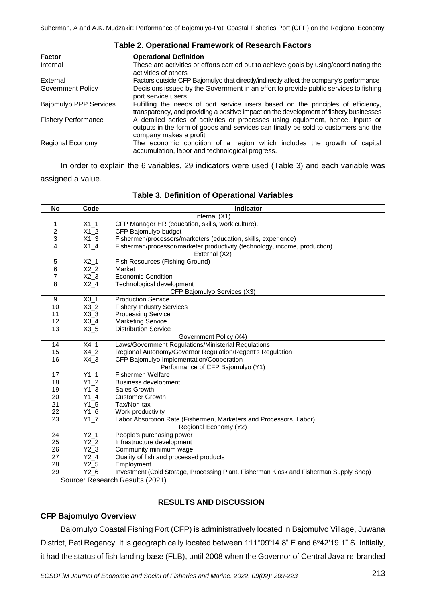| <b>Factor</b>                 | <b>Operational Definition</b>                                                                                                                                                                  |  |  |  |  |
|-------------------------------|------------------------------------------------------------------------------------------------------------------------------------------------------------------------------------------------|--|--|--|--|
| Internal                      | These are activities or efforts carried out to achieve goals by using/coordinating the<br>activities of others                                                                                 |  |  |  |  |
| External                      | Factors outside CFP Bajomulyo that directly/indirectly affect the company's performance                                                                                                        |  |  |  |  |
| <b>Government Policy</b>      | Decisions issued by the Government in an effort to provide public services to fishing<br>port service users                                                                                    |  |  |  |  |
| <b>Bajomulyo PPP Services</b> | Fulfilling the needs of port service users based on the principles of efficiency,<br>transparency, and providing a positive impact on the development of fishery businesses                    |  |  |  |  |
| <b>Fishery Performance</b>    | A detailed series of activities or processes using equipment, hence, inputs or<br>outputs in the form of goods and services can finally be sold to customers and the<br>company makes a profit |  |  |  |  |
| <b>Regional Economy</b>       | The economic condition of a region which includes the growth of capital<br>accumulation, labor and technological progress.                                                                     |  |  |  |  |

#### **Table 2. Operational Framework of Research Factors**

In order to explain the 6 variables, 29 indicators were used (Table 3) and each variable was assigned a value.

| No | Code            | <b>Indicator</b>                                                                       |  |  |
|----|-----------------|----------------------------------------------------------------------------------------|--|--|
|    |                 | Internal (X1)                                                                          |  |  |
| 1  | $X1_1$          | CFP Manager HR (education, skills, work culture).                                      |  |  |
| 2  | $X1_2$          | CFP Bajomulyo budget                                                                   |  |  |
| 3  | $X1_3$          | Fishermen/processors/marketers (education, skills, experience)                         |  |  |
| 4  | $X1_4$          | Fisherman/processor/marketer productivity (technology, income, production)             |  |  |
|    |                 | External (X2)                                                                          |  |  |
| 5  | $X2_1$          | Fish Resources (Fishing Ground)                                                        |  |  |
| 6  | X2 <sub>2</sub> | Market                                                                                 |  |  |
| 7  | $X2_3$          | <b>Economic Condition</b>                                                              |  |  |
| 8  | $X2_4$          | Technological development                                                              |  |  |
|    |                 | CFP Bajomulyo Services (X3)                                                            |  |  |
| 9  | $X3_1$          | <b>Production Service</b>                                                              |  |  |
| 10 | $X3_2$          | <b>Fishery Industry Services</b>                                                       |  |  |
| 11 | $X3_3$          | <b>Processing Service</b>                                                              |  |  |
| 12 | $X3_4$          | <b>Marketing Service</b>                                                               |  |  |
| 13 | $X3_5$          | <b>Distribution Service</b>                                                            |  |  |
|    |                 | Government Policy (X4)                                                                 |  |  |
| 14 | $X4_1$          | Laws/Government Regulations/Ministerial Regulations                                    |  |  |
| 15 | X4 <sub>2</sub> | Regional Autonomy/Governor Regulation/Regent's Regulation                              |  |  |
| 16 | $X4_3$          | CFP Bajomulyo Implementation/Cooperation                                               |  |  |
|    |                 | Performance of CFP Bajomulyo (Y1)                                                      |  |  |
| 17 | $Y1_1$          | <b>Fishermen Welfare</b>                                                               |  |  |
| 18 | $Y1_2$          | <b>Business development</b>                                                            |  |  |
| 19 | $Y1_3$          | Sales Growth                                                                           |  |  |
| 20 | $Y1_4$          | <b>Customer Growth</b>                                                                 |  |  |
| 21 | $Y1_5$          | Tax/Non-tax                                                                            |  |  |
| 22 | $Y1_6$          | Work productivity                                                                      |  |  |
| 23 | Y1 7            | Labor Absorption Rate (Fishermen, Marketers and Processors, Labor)                     |  |  |
|    |                 | Regional Economy (Y2)                                                                  |  |  |
| 24 | $Y2_1$          | People's purchasing power                                                              |  |  |
| 25 | $Y2_2$          | Infrastructure development                                                             |  |  |
| 26 | Y2 <sub>3</sub> | Community minimum wage                                                                 |  |  |
| 27 | Y2 <sub>4</sub> | Quality of fish and processed products                                                 |  |  |
| 28 | $Y2_5$          | Employment                                                                             |  |  |
| 29 | $Y2_6$          | Investment (Cold Storage, Processing Plant, Fisherman Kiosk and Fisherman Supply Shop) |  |  |

#### **Table 3. Definition of Operational Variables**

Source: Research Results (2021)

### **RESULTS AND DISCUSSION**

#### **CFP Bajomulyo Overview**

Bajomulyo Coastal Fishing Port (CFP) is administratively located in Bajomulyo Village, Juwana District, Pati Regency. It is geographically located between 111°09'14.8" E and 6°42'19.1" S. Initially, it had the status of fish landing base (FLB), until 2008 when the Governor of Central Java re-branded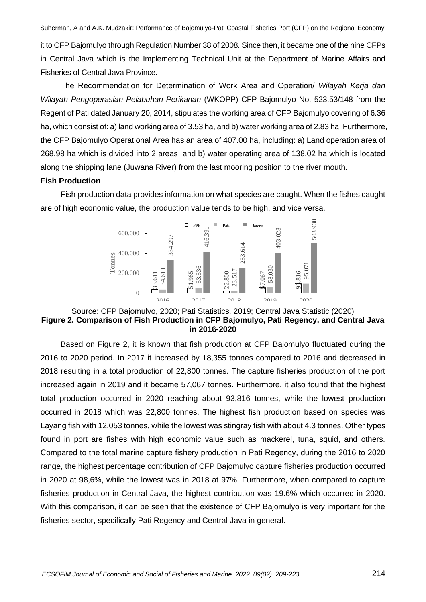it to CFP Bajomulyo through Regulation Number 38 of 2008. Since then, it became one of the nine CFPs in Central Java which is the Implementing Technical Unit at the Department of Marine Affairs and Fisheries of Central Java Province.

The Recommendation for Determination of Work Area and Operation/ *Wilayah Kerja dan Wilayah Pengoperasian Pelabuhan Perikanan* (WKOPP) CFP Bajomulyo No. 523.53/148 from the Regent of Pati dated January 20, 2014, stipulates the working area of CFP Bajomulyo covering of 6.36 ha, which consist of: a) land working area of 3.53 ha, and b) water working area of 2.83 ha. Furthermore, the CFP Bajomulyo Operational Area has an area of 407.00 ha, including: a) Land operation area of 268.98 ha which is divided into 2 areas, and b) water operating area of 138.02 ha which is located along the shipping lane (Juwana River) from the last mooring position to the river mouth.

# **Fish Production**

Fish production data provides information on what species are caught. When the fishes caught are of high economic value, the production value tends to be high, and vice versa.



### Source: CFP Bajomulyo, 2020; Pati Statistics, 2019; Central Java Statistic (2020) **Figure 2. Comparison of Fish Production in CFP Bajomulyo, Pati Regency, and Central Java in 2016-2020**

Based on Figure 2, it is known that fish production at CFP Bajomulyo fluctuated during the 2016 to 2020 period. In 2017 it increased by 18,355 tonnes compared to 2016 and decreased in 2018 resulting in a total production of 22,800 tonnes. The capture fisheries production of the port increased again in 2019 and it became 57,067 tonnes. Furthermore, it also found that the highest total production occurred in 2020 reaching about 93,816 tonnes, while the lowest production occurred in 2018 which was 22,800 tonnes. The highest fish production based on species was Layang fish with 12,053 tonnes, while the lowest was stingray fish with about 4.3 tonnes. Other types found in port are fishes with high economic value such as mackerel, tuna, squid, and others. Compared to the total marine capture fishery production in Pati Regency, during the 2016 to 2020 range, the highest percentage contribution of CFP Bajomulyo capture fisheries production occurred in 2020 at 98,6%, while the lowest was in 2018 at 97%. Furthermore, when compared to capture fisheries production in Central Java, the highest contribution was 19.6% which occurred in 2020. With this comparison, it can be seen that the existence of CFP Bajomulyo is very important for the **Fraction 200000 Example 1200000 Example 1200000 Example 1200000 Example 12016 2020 CALCE Alternation of Fish Production in CFP Bajomulyo, Pati in 2016-2020 Based on Figure 2, it is known that fish production**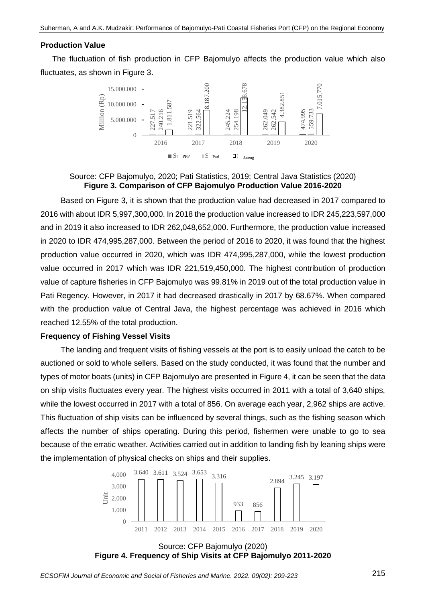## **Production Value**

The fluctuation of fish production in CFP Bajomulyo affects the production value which also fluctuates, as shown in Figure 3.



Source: CFP Bajomulyo, 2020; Pati Statistics, 2019; Central Java Statistics (2020) **Figure 3. Comparison of CFP Bajomulyo Production Value 2016-2020**

Based on Figure 3, it is shown that the production value had decreased in 2017 compared to 2016 with about IDR 5,997,300,000. In 2018 the production value increased to IDR 245,223,597,000 and in 2019 it also increased to IDR 262,048,652,000. Furthermore, the production value increased in 2020 to IDR 474,995,287,000. Between the period of 2016 to 2020, it was found that the highest production value occurred in 2020, which was IDR 474,995,287,000, while the lowest production value occurred in 2017 which was IDR 221,519,450,000. The highest contribution of production value of capture fisheries in CFP Bajomulyo was 99.81% in 2019 out of the total production value in Pati Regency. However, in 2017 it had decreased drastically in 2017 by 68.67%. When compared with the production value of Central Java, the highest percentage was achieved in 2016 which reached 12.55% of the total production. **Figure 4.** Figure 4. Frequency of Ship Visits active device at CFP Bajomulyo 2011-2022<br> **Figure 4. Frequency of Ship Visits at CFP Bajomulyo Production Value and decreased in 20<br>
Example 1. Frequency of PP Bajomulyo Prod** 

#### **Frequency of Fishing Vessel Visits**

The landing and frequent visits of fishing vessels at the port is to easily unload the catch to be auctioned or sold to whole sellers. Based on the study conducted, it was found that the number and types of motor boats (units) in CFP Bajomulyo are presented in Figure 4, it can be seen that the data on ship visits fluctuates every year. The highest visits occurred in 2011 with a total of 3,640 ships, while the lowest occurred in 2017 with a total of 856. On average each year, 2,962 ships are active. This fluctuation of ship visits can be influenced by several things, such as the fishing season which affects the number of ships operating. During this period, fishermen were unable to go to sea because of the erratic weather. Activities carried out in addition to landing fish by leaning ships were the implementation of physical checks on ships and their supplies.



Source: CFP Bajomulyo (2020)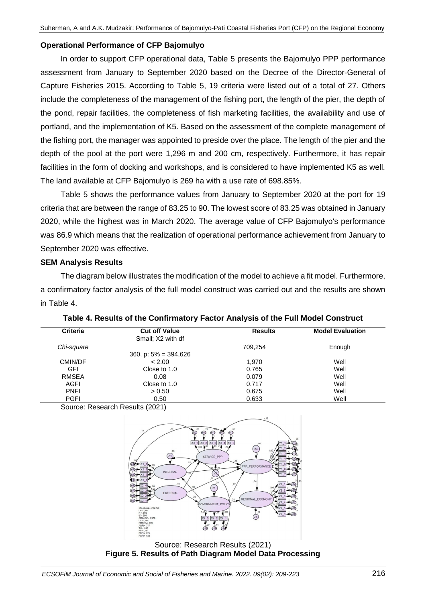## **Operational Performance of CFP Bajomulyo**

In order to support CFP operational data, Table 5 presents the Bajomulyo PPP performance assessment from January to September 2020 based on the Decree of the Director-General of Capture Fisheries 2015. According to Table 5, 19 criteria were listed out of a total of 27. Others include the completeness of the management of the fishing port, the length of the pier, the depth of the pond, repair facilities, the completeness of fish marketing facilities, the availability and use of portland, and the implementation of K5. Based on the assessment of the complete management of the fishing port, the manager was appointed to preside over the place. The length of the pier and the depth of the pool at the port were 1,296 m and 200 cm, respectively. Furthermore, it has repair facilities in the form of docking and workshops, and is considered to have implemented K5 as well. The land available at CFP Bajomulyo is 269 ha with a use rate of 698.85%.

Table 5 shows the performance values from January to September 2020 at the port for 19 criteria that are between the range of 83.25 to 90. The lowest score of 83.25 was obtained in January 2020, while the highest was in March 2020. The average value of CFP Bajomulyo's performance was 86.9 which means that the realization of operational performance achievement from January to September 2020 was effective.

## **SEM Analysis Results**

The diagram below illustrates the modification of the model to achieve a fit model. Furthermore, a confirmatory factor analysis of the full model construct was carried out and the results are shown in Table 4.

| <b>Criteria</b> | <b>Cut off Value</b>       | <b>Results</b> | <b>Model Evaluation</b> |
|-----------------|----------------------------|----------------|-------------------------|
|                 | Small; X2 with df          |                |                         |
| Chi-square      |                            | 709.254        | Enough                  |
|                 | $360$ , p: $5\% = 394,626$ |                |                         |
| CMIN/DF         | < 2.00                     | 1.970          | Well                    |
| GFI             | Close to 1.0               | 0.765          | Well                    |
| RMSEA           | 0.08                       | 0.079          | Well                    |
| AGFI            | Close to 1.0               | 0.717          | Well                    |
| <b>PNFI</b>     | > 0.50                     | 0.675          | Well                    |
| <b>PGFI</b>     | 0.50                       | 0.633          | Well                    |

**Table 4. Results of the Confirmatory Factor Analysis of the Full Model Construct**

Source: Research Results (2021)



Source: Research Results (2021) **Figure 5. Results of Path Diagram Model Data Processing**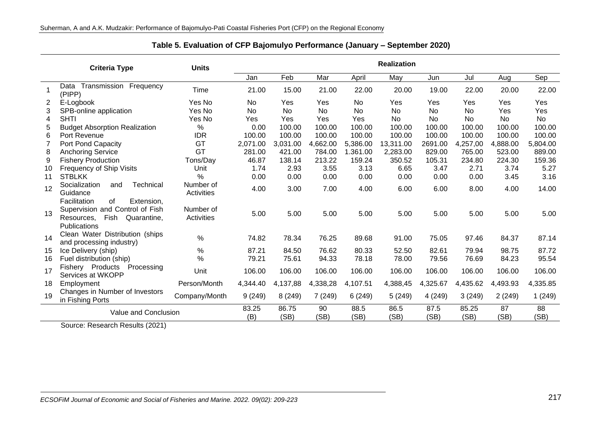|                      | <b>Criteria Type</b>                                                                                                     | <b>Units</b>                   |               |            |              |              | <b>Realization</b> |               |            |            |          |
|----------------------|--------------------------------------------------------------------------------------------------------------------------|--------------------------------|---------------|------------|--------------|--------------|--------------------|---------------|------------|------------|----------|
|                      |                                                                                                                          |                                | Jan           | Feb        | Mar          | April        | May                | Jun           | Jul        | Aug        | Sep      |
|                      | Transmission<br>Frequency<br>Data<br>(PIPP)                                                                              | <b>Time</b>                    | 21.00         | 15.00      | 21.00        | 22.00        | 20.00              | 19.00         | 22.00      | 20.00      | 22.00    |
| 2                    | E-Logbook                                                                                                                | Yes No                         | No.           | Yes        | Yes          | No           | Yes                | Yes           | Yes        | Yes        | Yes      |
| 3                    | SPB-online application                                                                                                   | Yes No                         | <b>No</b>     | <b>No</b>  | <b>No</b>    | No           | <b>No</b>          | <b>No</b>     | <b>No</b>  | Yes        | Yes      |
| 4                    | <b>SHTI</b>                                                                                                              | Yes No                         | Yes           | Yes        | Yes          | Yes          | No                 | No            | No         | No         | No       |
| 5                    | <b>Budget Absorption Realization</b>                                                                                     | %                              | 0.00          | 100.00     | 100.00       | 100.00       | 100.00             | 100.00        | 100.00     | 100.00     | 100.00   |
| 6                    | Port Revenue                                                                                                             | <b>IDR</b>                     | 100.00        | 100.00     | 100.00       | 100.00       | 100.00             | 100.00        | 100.00     | 100.00     | 100.00   |
| $\overline{7}$       | Port Pond Capacity                                                                                                       | GT                             | 2,071.00      | 3,031.00   | 4,662.00     | 5,386.00     | 13,311.00          | 2691.00       | 4,257,00   | 4,888.00   | 5,804.00 |
| 8                    | <b>Anchoring Service</b>                                                                                                 | GT                             | 281.00        | 421.00     | 784.00       | 1.361.00     | 2,283.00           | 829.00        | 765.00     | 523.00     | 889.00   |
| 9                    | <b>Fishery Production</b>                                                                                                | Tons/Day                       | 46.87         | 138.14     | 213.22       | 159.24       | 350.52             | 105.31        | 234.80     | 224.30     | 159.36   |
| 10                   | Frequency of Ship Visits                                                                                                 | Unit                           | 1.74          | 2.93       | 3.55         | 3.13         | 6.65               | 3.47          | 2.71       | 3.74       | 5.27     |
| 11                   | <b>STBLKK</b>                                                                                                            | $\frac{0}{0}$                  | 0.00          | 0.00       | 0.00         | 0.00         | 0.00               | 0.00          | 0.00       | 3.45       | 3.16     |
| 12                   | Socialization<br>Technical<br>and<br>Guidance                                                                            | Number of<br>Activities        | 4.00          | 3.00       | 7.00         | 4.00         | 6.00               | 6.00          | 8.00       | 4.00       | 14.00    |
| 13                   | of<br>Facilitation<br>Extension,<br>Supervision and Control of Fish<br>Fish<br>Quarantine,<br>Resources,<br>Publications | Number of<br><b>Activities</b> | 5.00          | 5.00       | 5.00         | 5.00         | 5.00               | 5.00          | 5.00       | 5.00       | 5.00     |
| 14                   | Clean Water Distribution (ships)<br>and processing industry)                                                             | $\frac{0}{0}$                  | 74.82         | 78.34      | 76.25        | 89.68        | 91.00              | 75.05         | 97.46      | 84.37      | 87.14    |
| 15                   | Ice Delivery (ship)                                                                                                      | $\%$                           | 87.21         | 84.50      | 76.62        | 80.33        | 52.50              | 82.61         | 79.94      | 98.75      | 87.72    |
| 16                   | Fuel distribution (ship)                                                                                                 | $\%$                           | 79.21         | 75.61      | 94.33        | 78.18        | 78.00              | 79.56         | 76.69      | 84.23      | 95.54    |
| 17                   | Fishery Products<br>Processing<br>Services at WKOPP                                                                      | Unit                           | 106.00        | 106.00     | 106.00       | 106.00       | 106.00             | 106.00        | 106.00     | 106.00     | 106.00   |
| 18                   | Employment                                                                                                               | Person/Month                   | 4,344.40      | 4,137,88   | 4,338,28     | 4,107.51     | 4,388,45           | 4,325.67      | 4,435.62   | 4,493.93   | 4,335.85 |
| 19                   | Changes in Number of Investors<br>in Fishing Ports                                                                       | Company/Month                  | 9(249)        | 8(249)     | 7(249)       | 6(249)       | 5(249)             | 4 (249)       | 3(249)     | 2(249)     | 1(249)   |
| Value and Conclusion |                                                                                                                          | 83.25<br>(B)                   | 86.75<br>(SB) | 90<br>(SB) | 88.5<br>(SB) | 86.5<br>(SB) | 87.5<br>(SB)       | 85.25<br>(SB) | 87<br>(SB) | 88<br>(SB) |          |

**Table 5. Evaluation of CFP Bajomulyo Performance (January – September 2020)**

Source: Research Results (2021)

j.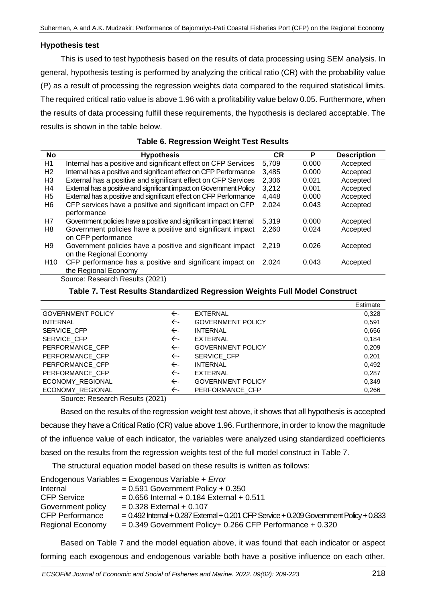## **Hypothesis test**

This is used to test hypothesis based on the results of data processing using SEM analysis. In general, hypothesis testing is performed by analyzing the critical ratio (CR) with the probability value (P) as a result of processing the regression weights data compared to the required statistical limits. The required critical ratio value is above 1.96 with a profitability value below 0.05. Furthermore, when the results of data processing fulfill these requirements, the hypothesis is declared acceptable. The results is shown in the table below.

| No              | <b>Hypothesis</b>                                                   | СR    | P     | <b>Description</b> |
|-----------------|---------------------------------------------------------------------|-------|-------|--------------------|
| H1              | Internal has a positive and significant effect on CFP Services      | 5,709 | 0.000 | Accepted           |
| H <sub>2</sub>  | Internal has a positive and significant effect on CFP Performance   | 3.485 | 0.000 | Accepted           |
| H <sub>3</sub>  | External has a positive and significant effect on CFP Services      | 2.306 | 0.021 | Accepted           |
| H4              | External has a positive and significant impact on Government Policy | 3.212 | 0.001 | Accepted           |
| H <sub>5</sub>  | External has a positive and significant effect on CFP Performance   | 4,448 | 0.000 | Accepted           |
| H6              | CFP services have a positive and significant impact on CFP          | 2.024 | 0.043 | Accepted           |
|                 | performance                                                         |       |       |                    |
| H7              | Government policies have a positive and significant impact Internal | 5.319 | 0.000 | Accepted           |
| H8              | Government policies have a positive and significant impact          | 2,260 | 0.024 | Accepted           |
|                 | on CFP performance                                                  |       |       |                    |
| H <sub>9</sub>  | Government policies have a positive and significant impact          | 2.219 | 0.026 | Accepted           |
|                 | on the Regional Economy                                             |       |       |                    |
| H <sub>10</sub> | CFP performance has a positive and significant impact on            | 2.024 | 0.043 | Accepted           |
|                 | the Regional Economy                                                |       |       |                    |

#### **Table 6. Regression Weight Test Results**

Source: Research Results (2021)

### **Table 7. Test Results Standardized Regression Weights Full Model Construct**

|                          |              |                          | Estimate |
|--------------------------|--------------|--------------------------|----------|
| <b>GOVERNMENT POLICY</b> | $\leftarrow$ | EXTERNAL                 | 0,328    |
| <b>INTERNAL</b>          | $\leftarrow$ | <b>GOVERNMENT POLICY</b> | 0,591    |
| <b>SERVICE CFP</b>       | $\leftarrow$ | <b>INTERNAL</b>          | 0,656    |
| <b>SERVICE CFP</b>       | $\leftarrow$ | EXTERNAL                 | 0,184    |
| PERFORMANCE CFP          | $\leftarrow$ | <b>GOVERNMENT POLICY</b> | 0,209    |
| PERFORMANCE CFP          | $\leftarrow$ | <b>SERVICE CFP</b>       | 0,201    |
| PERFORMANCE_CFP          | $\leftarrow$ | <b>INTERNAL</b>          | 0,492    |
| PERFORMANCE CFP          | ←-           | EXTERNAL                 | 0,287    |
| ECONOMY REGIONAL         | $\leftarrow$ | <b>GOVERNMENT POLICY</b> | 0,349    |
| ECONOMY REGIONAL         | $\leftarrow$ | PERFORMANCE CFP          | 0,266    |

Source: Research Results (2021)

Based on the results of the regression weight test above, it shows that all hypothesis is accepted because they have a Critical Ratio (CR) value above 1.96. Furthermore, in order to know the magnitude of the influence value of each indicator, the variables were analyzed using standardized coefficients based on the results from the regression weights test of the full model construct in Table 7.

The structural equation model based on these results is written as follows:

|                         | Endogenous Variables = Exogenous Variable + Error                                         |
|-------------------------|-------------------------------------------------------------------------------------------|
| Internal                | $= 0.591$ Government Policy + 0.350                                                       |
| <b>CFP Service</b>      | $= 0.656$ Internal + 0.184 External + 0.511                                               |
| Government policy       | $= 0.328$ External + 0.107                                                                |
| <b>CFP Performance</b>  | $= 0.492$ Internal + 0.287 External + 0.201 CFP Service + 0.209 Government Policy + 0.833 |
| <b>Regional Economy</b> | $= 0.349$ Government Policy+ 0.266 CFP Performance + 0.320                                |

Based on Table 7 and the model equation above, it was found that each indicator or aspect forming each exogenous and endogenous variable both have a positive influence on each other.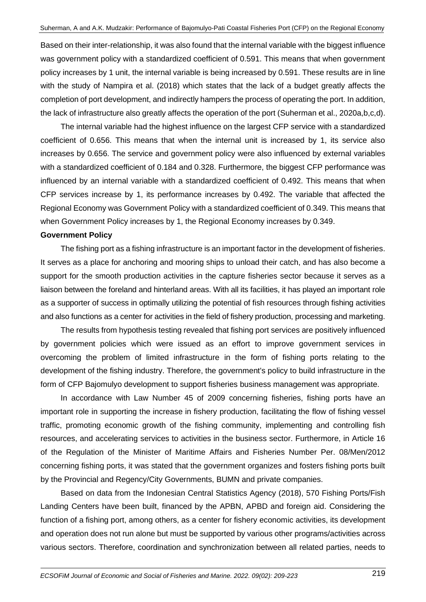Based on their inter-relationship, it was also found that the internal variable with the biggest influence was government policy with a standardized coefficient of 0.591. This means that when government policy increases by 1 unit, the internal variable is being increased by 0.591. These results are in line with the study of Nampira et al. (2018) which states that the lack of a budget greatly affects the completion of port development, and indirectly hampers the process of operating the port. In addition, the lack of infrastructure also greatly affects the operation of the port (Suherman et al., 2020a,b,c,d).

The internal variable had the highest influence on the largest CFP service with a standardized coefficient of 0.656. This means that when the internal unit is increased by 1, its service also increases by 0.656. The service and government policy were also influenced by external variables with a standardized coefficient of 0.184 and 0.328. Furthermore, the biggest CFP performance was influenced by an internal variable with a standardized coefficient of 0.492. This means that when CFP services increase by 1, its performance increases by 0.492. The variable that affected the Regional Economy was Government Policy with a standardized coefficient of 0.349. This means that when Government Policy increases by 1, the Regional Economy increases by 0.349.

#### **Government Policy**

The fishing port as a fishing infrastructure is an important factor in the development of fisheries. It serves as a place for anchoring and mooring ships to unload their catch, and has also become a support for the smooth production activities in the capture fisheries sector because it serves as a liaison between the foreland and hinterland areas. With all its facilities, it has played an important role as a supporter of success in optimally utilizing the potential of fish resources through fishing activities and also functions as a center for activities in the field of fishery production, processing and marketing.

The results from hypothesis testing revealed that fishing port services are positively influenced by government policies which were issued as an effort to improve government services in overcoming the problem of limited infrastructure in the form of fishing ports relating to the development of the fishing industry. Therefore, the government's policy to build infrastructure in the form of CFP Bajomulyo development to support fisheries business management was appropriate.

In accordance with Law Number 45 of 2009 concerning fisheries, fishing ports have an important role in supporting the increase in fishery production, facilitating the flow of fishing vessel traffic, promoting economic growth of the fishing community, implementing and controlling fish resources, and accelerating services to activities in the business sector. Furthermore, in Article 16 of the Regulation of the Minister of Maritime Affairs and Fisheries Number Per. 08/Men/2012 concerning fishing ports, it was stated that the government organizes and fosters fishing ports built by the Provincial and Regency/City Governments, BUMN and private companies.

Based on data from the Indonesian Central Statistics Agency (2018), 570 Fishing Ports/Fish Landing Centers have been built, financed by the APBN, APBD and foreign aid. Considering the function of a fishing port, among others, as a center for fishery economic activities, its development and operation does not run alone but must be supported by various other programs/activities across various sectors. Therefore, coordination and synchronization between all related parties, needs to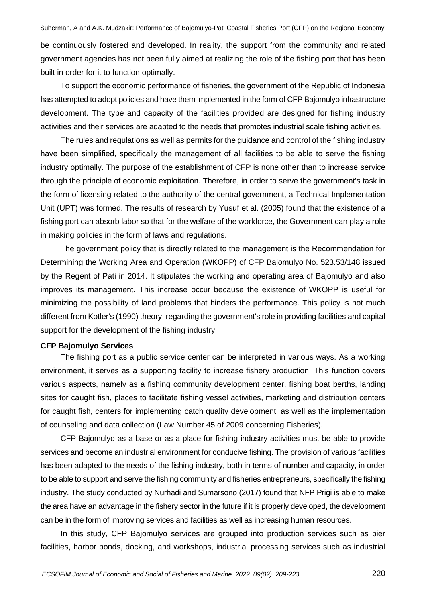be continuously fostered and developed. In reality, the support from the community and related government agencies has not been fully aimed at realizing the role of the fishing port that has been built in order for it to function optimally.

To support the economic performance of fisheries, the government of the Republic of Indonesia has attempted to adopt policies and have them implemented in the form of CFP Bajomulyo infrastructure development. The type and capacity of the facilities provided are designed for fishing industry activities and their services are adapted to the needs that promotes industrial scale fishing activities.

The rules and regulations as well as permits for the guidance and control of the fishing industry have been simplified, specifically the management of all facilities to be able to serve the fishing industry optimally. The purpose of the establishment of CFP is none other than to increase service through the principle of economic exploitation. Therefore, in order to serve the government's task in the form of licensing related to the authority of the central government, a Technical Implementation Unit (UPT) was formed. The results of research by Yusuf et al. (2005) found that the existence of a fishing port can absorb labor so that for the welfare of the workforce, the Government can play a role in making policies in the form of laws and regulations.

The government policy that is directly related to the management is the Recommendation for Determining the Working Area and Operation (WKOPP) of CFP Bajomulyo No. 523.53/148 issued by the Regent of Pati in 2014. It stipulates the working and operating area of Bajomulyo and also improves its management. This increase occur because the existence of WKOPP is useful for minimizing the possibility of land problems that hinders the performance. This policy is not much different from Kotler's (1990) theory, regarding the government's role in providing facilities and capital support for the development of the fishing industry.

#### **CFP Bajomulyo Services**

The fishing port as a public service center can be interpreted in various ways. As a working environment, it serves as a supporting facility to increase fishery production. This function covers various aspects, namely as a fishing community development center, fishing boat berths, landing sites for caught fish, places to facilitate fishing vessel activities, marketing and distribution centers for caught fish, centers for implementing catch quality development, as well as the implementation of counseling and data collection (Law Number 45 of 2009 concerning Fisheries).

CFP Bajomulyo as a base or as a place for fishing industry activities must be able to provide services and become an industrial environment for conducive fishing. The provision of various facilities has been adapted to the needs of the fishing industry, both in terms of number and capacity, in order to be able to support and serve the fishing community and fisheries entrepreneurs, specifically the fishing industry. The study conducted by Nurhadi and Sumarsono (2017) found that NFP Prigi is able to make the area have an advantage in the fishery sector in the future if it is properly developed, the development can be in the form of improving services and facilities as well as increasing human resources.

In this study, CFP Bajomulyo services are grouped into production services such as pier facilities, harbor ponds, docking, and workshops, industrial processing services such as industrial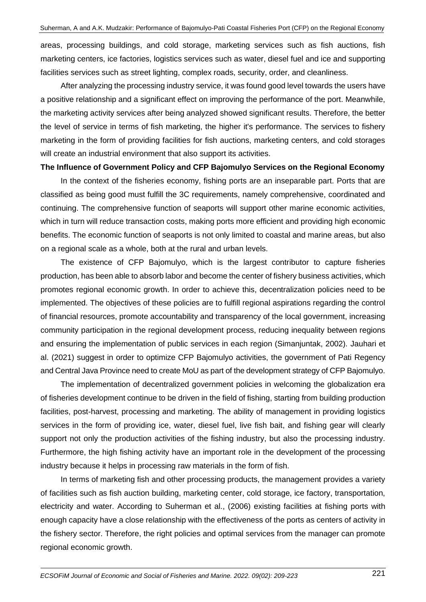areas, processing buildings, and cold storage, marketing services such as fish auctions, fish marketing centers, ice factories, logistics services such as water, diesel fuel and ice and supporting facilities services such as street lighting, complex roads, security, order, and cleanliness.

After analyzing the processing industry service, it was found good level towards the users have a positive relationship and a significant effect on improving the performance of the port. Meanwhile, the marketing activity services after being analyzed showed significant results. Therefore, the better the level of service in terms of fish marketing, the higher it's performance. The services to fishery marketing in the form of providing facilities for fish auctions, marketing centers, and cold storages will create an industrial environment that also support its activities.

#### **The Influence of Government Policy and CFP Bajomulyo Services on the Regional Economy**

In the context of the fisheries economy, fishing ports are an inseparable part. Ports that are classified as being good must fulfill the 3C requirements, namely comprehensive, coordinated and continuing. The comprehensive function of seaports will support other marine economic activities, which in turn will reduce transaction costs, making ports more efficient and providing high economic benefits. The economic function of seaports is not only limited to coastal and marine areas, but also on a regional scale as a whole, both at the rural and urban levels.

The existence of CFP Bajomulyo, which is the largest contributor to capture fisheries production, has been able to absorb labor and become the center of fishery business activities, which promotes regional economic growth. In order to achieve this, decentralization policies need to be implemented. The objectives of these policies are to fulfill regional aspirations regarding the control of financial resources, promote accountability and transparency of the local government, increasing community participation in the regional development process, reducing inequality between regions and ensuring the implementation of public services in each region (Simanjuntak, 2002). Jauhari et al. (2021) suggest in order to optimize CFP Bajomulyo activities, the government of Pati Regency and Central Java Province need to create MoU as part of the development strategy of CFP Bajomulyo.

The implementation of decentralized government policies in welcoming the globalization era of fisheries development continue to be driven in the field of fishing, starting from building production facilities, post-harvest, processing and marketing. The ability of management in providing logistics services in the form of providing ice, water, diesel fuel, live fish bait, and fishing gear will clearly support not only the production activities of the fishing industry, but also the processing industry. Furthermore, the high fishing activity have an important role in the development of the processing industry because it helps in processing raw materials in the form of fish.

In terms of marketing fish and other processing products, the management provides a variety of facilities such as fish auction building, marketing center, cold storage, ice factory, transportation, electricity and water. According to Suherman et al., (2006) existing facilities at fishing ports with enough capacity have a close relationship with the effectiveness of the ports as centers of activity in the fishery sector. Therefore, the right policies and optimal services from the manager can promote regional economic growth.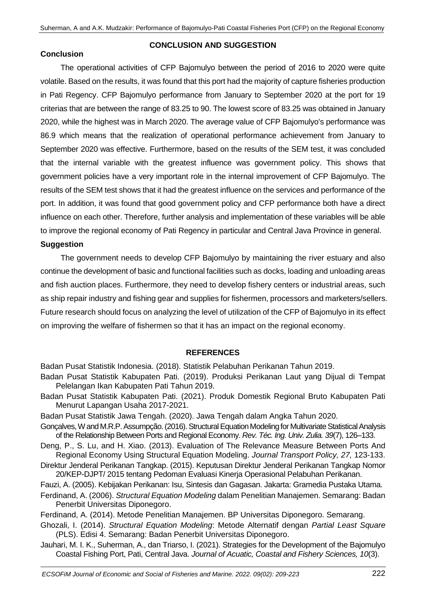### **CONCLUSION AND SUGGESTION**

### **Conclusion**

The operational activities of CFP Bajomulyo between the period of 2016 to 2020 were quite volatile. Based on the results, it was found that this port had the majority of capture fisheries production in Pati Regency. CFP Bajomulyo performance from January to September 2020 at the port for 19 criterias that are between the range of 83.25 to 90. The lowest score of 83.25 was obtained in January 2020, while the highest was in March 2020. The average value of CFP Bajomulyo's performance was 86.9 which means that the realization of operational performance achievement from January to September 2020 was effective. Furthermore, based on the results of the SEM test, it was concluded that the internal variable with the greatest influence was government policy. This shows that government policies have a very important role in the internal improvement of CFP Bajomulyo. The results of the SEM test shows that it had the greatest influence on the services and performance of the port. In addition, it was found that good government policy and CFP performance both have a direct influence on each other. Therefore, further analysis and implementation of these variables will be able to improve the regional economy of Pati Regency in particular and Central Java Province in general.

### **Suggestion**

The government needs to develop CFP Bajomulyo by maintaining the river estuary and also continue the development of basic and functional facilities such as docks, loading and unloading areas and fish auction places. Furthermore, they need to develop fishery centers or industrial areas, such as ship repair industry and fishing gear and supplies for fishermen, processors and marketers/sellers. Future research should focus on analyzing the level of utilization of the CFP of Bajomulyo in its effect on improving the welfare of fishermen so that it has an impact on the regional economy.

## **REFERENCES**

Badan Pusat Statistik Indonesia. (2018). Statistik Pelabuhan Perikanan Tahun 2019.

- Badan Pusat Statistik Kabupaten Pati. (2019). Produksi Perikanan Laut yang Dijual di Tempat Pelelangan Ikan Kabupaten Pati Tahun 2019.
- Badan Pusat Statistik Kabupaten Pati. (2021). Produk Domestik Regional Bruto Kabupaten Pati Menurut Lapangan Usaha 2017-2021.
- Badan Pusat Statistik Jawa Tengah. (2020). Jawa Tengah dalam Angka Tahun 2020.
- Gonçalves, W and M.R.P. Assumpção. (2016). Structural Equation Modeling for Multivariate Statistical Analysis of the Relationship Between Ports and Regional Economy. *Rev. Téc. Ing. Univ. Zulia. 39*(7), 126–133.
- Deng, P., S. Lu, and H. Xiao. (2013). Evaluation of The Relevance Measure Between Ports And Regional Economy Using Structural Equation Modeling. *Journal Transport Policy, 27,* 123-133.
- Direktur Jenderal Perikanan Tangkap. (2015). Keputusan Direktur Jenderal Perikanan Tangkap Nomor 20/KEP-DJPT/ 2015 tentang Pedoman Evaluasi Kinerja Operasional Pelabuhan Perikanan.
- Fauzi, A. (2005). Kebijakan Perikanan: Isu, Sintesis dan Gagasan. Jakarta: Gramedia Pustaka Utama.
- Ferdinand, A. (2006). *Structural Equation Modeling* dalam Penelitian Manajemen. Semarang: Badan Penerbit Universitas Diponegoro.
- Ferdinand, A. (2014). Metode Penelitian Manajemen. BP Universitas Diponegoro. Semarang.
- Ghozali, I. (2014). *Structural Equation Modeling*: Metode Alternatif dengan *Partial Least Square* (PLS). Edisi 4. Semarang: Badan Penerbit Universitas Diponegoro.
- Jauhari, M. I. K., Suherman, A., dan Triarso, I. (2021). Strategies for the Development of the Bajomulyo Coastal Fishing Port, Pati, Central Java. *Journal of Acuatic, Coastal and Fishery Sciences, 10*(3).